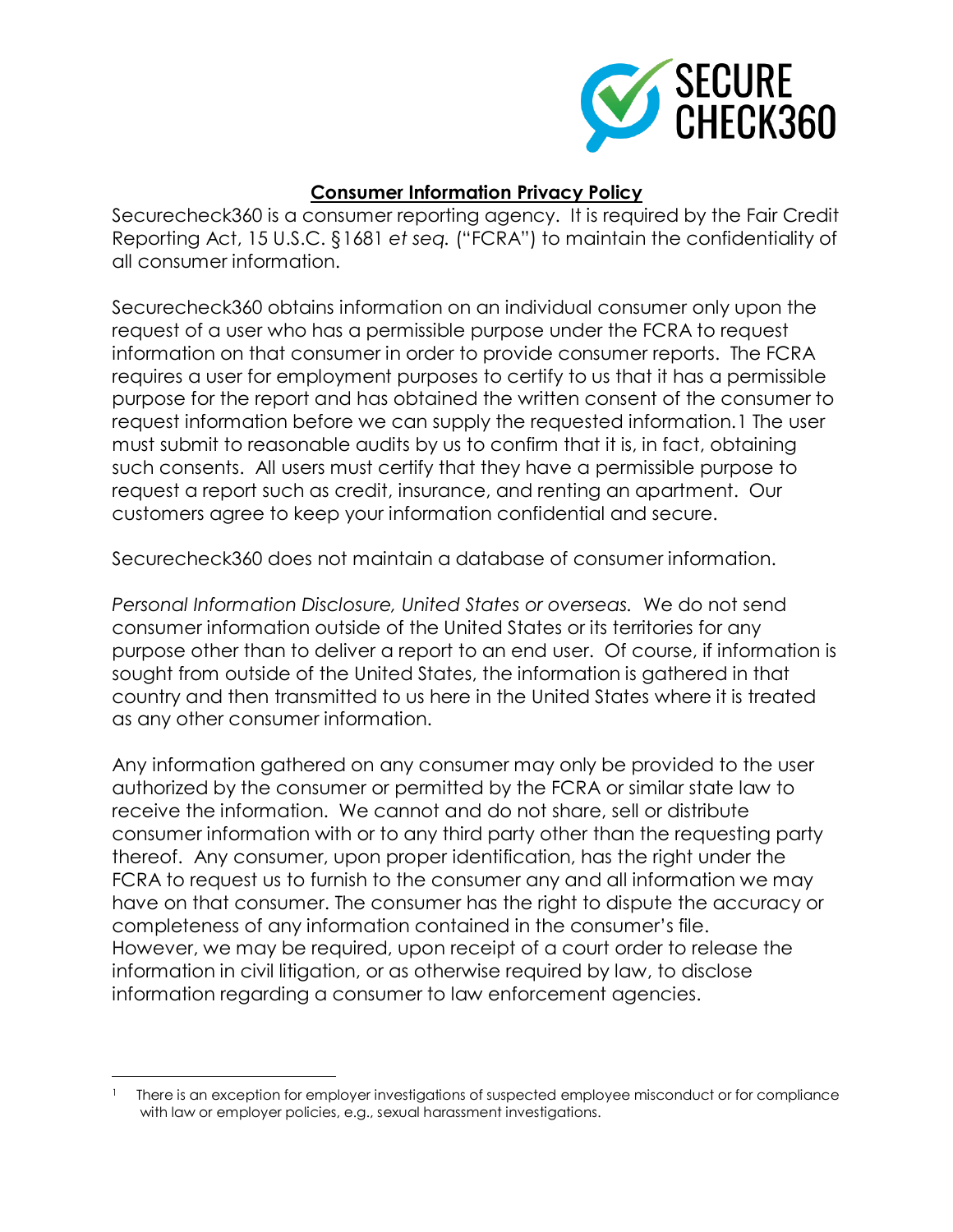

## **Consumer Information Privacy Policy**

Securecheck360 is a consumer reporting agency. It is required by the Fair Credit Reporting Act, 15 U.S.C. §1681 *et seq.* ("FCRA") to maintain the confidentiality of all consumer information.

Securecheck360 obtains information on an individual consumer only upon the request of a user who has a permissible purpose under the FCRA to request information on that consumer in order to provide consumer reports. The FCRA requires a user for employment purposes to certify to us that it has a permissible purpose for the report and has obtained the written consent of the consumer to request information before we can supply the requested information.1 The user must submit to reasonable audits by us to confirm that it is, in fact, obtaining such consents. All users must certify that they have a permissible purpose to request a report such as credit, insurance, and renting an apartment. Our customers agree to keep your information confidential and secure.

Securecheck360 does not maintain a database of consumer information.

*Personal Information Disclosure, United States or overseas.* We do not send consumer information outside of the United States or its territories for any purpose other than to deliver a report to an end user. Of course, if information is sought from outside of the United States, the information is gathered in that country and then transmitted to us here in the United States where it is treated as any other consumer information.

Any information gathered on any consumer may only be provided to the user authorized by the consumer or permitted by the FCRA or similar state law to receive the information. We cannot and do not share, sell or distribute consumer information with or to any third party other than the requesting party thereof. Any consumer, upon proper identification, has the right under the FCRA to request us to furnish to the consumer any and all information we may have on that consumer. The consumer has the right to dispute the accuracy or completeness of any information contained in the consumer's file. However, we may be required, upon receipt of a court order to release the information in civil litigation, or as otherwise required by law, to disclose information regarding a consumer to law enforcement agencies.

l

<sup>1</sup> There is an exception for employer investigations of suspected employee misconduct or for compliance with law or employer policies, e.g., sexual harassment investigations.